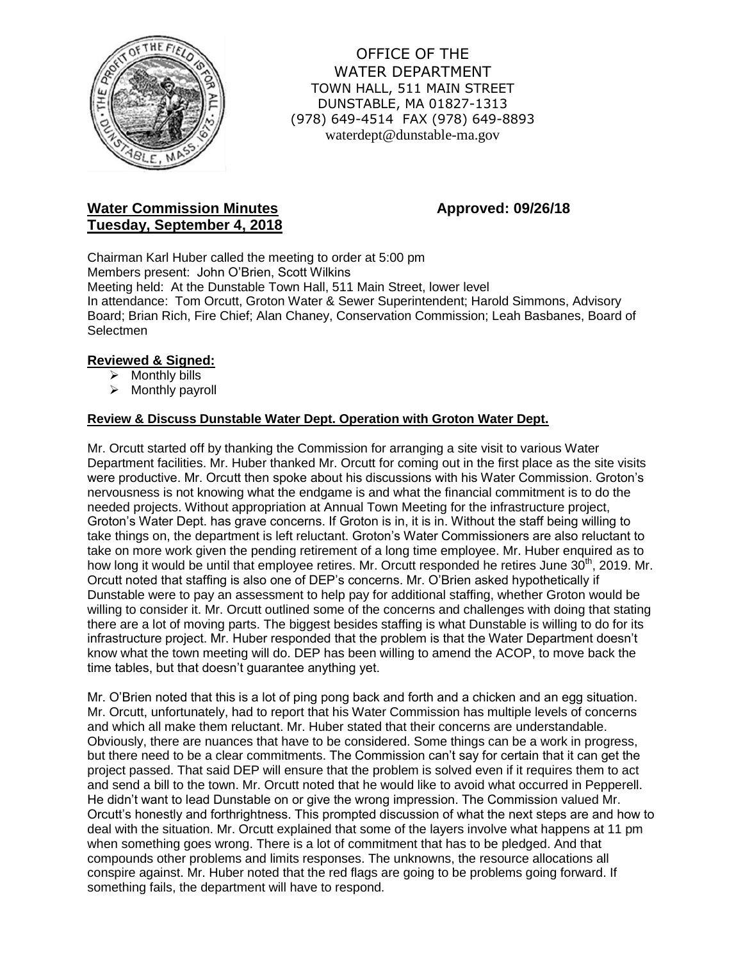

OFFICE OF THE WATER DEPARTMENT TOWN HALL, 511 MAIN STREET DUNSTABLE, MA 01827-1313 (978) 649-4514 FAX (978) 649-8893 waterdept@dunstable-ma.gov

# **Water Commission Minutes <b>Approved: 09/26/18 Tuesday, September 4, 2018**

Chairman Karl Huber called the meeting to order at 5:00 pm Members present: John O'Brien, Scott Wilkins Meeting held: At the Dunstable Town Hall, 511 Main Street, lower level In attendance: Tom Orcutt, Groton Water & Sewer Superintendent; Harold Simmons, Advisory Board; Brian Rich, Fire Chief; Alan Chaney, Conservation Commission; Leah Basbanes, Board of **Selectmen** 

# **Reviewed & Signed:**

- $\triangleright$  Monthly bills
- $\triangleright$  Monthly payroll

# **Review & Discuss Dunstable Water Dept. Operation with Groton Water Dept.**

Mr. Orcutt started off by thanking the Commission for arranging a site visit to various Water Department facilities. Mr. Huber thanked Mr. Orcutt for coming out in the first place as the site visits were productive. Mr. Orcutt then spoke about his discussions with his Water Commission. Groton's nervousness is not knowing what the endgame is and what the financial commitment is to do the needed projects. Without appropriation at Annual Town Meeting for the infrastructure project, Groton's Water Dept. has grave concerns. If Groton is in, it is in. Without the staff being willing to take things on, the department is left reluctant. Groton's Water Commissioners are also reluctant to take on more work given the pending retirement of a long time employee. Mr. Huber enquired as to how long it would be until that employee retires. Mr. Orcutt responded he retires June 30<sup>th</sup>, 2019. Mr. Orcutt noted that staffing is also one of DEP's concerns. Mr. O'Brien asked hypothetically if Dunstable were to pay an assessment to help pay for additional staffing, whether Groton would be willing to consider it. Mr. Orcutt outlined some of the concerns and challenges with doing that stating there are a lot of moving parts. The biggest besides staffing is what Dunstable is willing to do for its infrastructure project. Mr. Huber responded that the problem is that the Water Department doesn't know what the town meeting will do. DEP has been willing to amend the ACOP, to move back the time tables, but that doesn't guarantee anything yet.

Mr. O'Brien noted that this is a lot of ping pong back and forth and a chicken and an egg situation. Mr. Orcutt, unfortunately, had to report that his Water Commission has multiple levels of concerns and which all make them reluctant. Mr. Huber stated that their concerns are understandable. Obviously, there are nuances that have to be considered. Some things can be a work in progress, but there need to be a clear commitments. The Commission can't say for certain that it can get the project passed. That said DEP will ensure that the problem is solved even if it requires them to act and send a bill to the town. Mr. Orcutt noted that he would like to avoid what occurred in Pepperell. He didn't want to lead Dunstable on or give the wrong impression. The Commission valued Mr. Orcutt's honestly and forthrightness. This prompted discussion of what the next steps are and how to deal with the situation. Mr. Orcutt explained that some of the layers involve what happens at 11 pm when something goes wrong. There is a lot of commitment that has to be pledged. And that compounds other problems and limits responses. The unknowns, the resource allocations all conspire against. Mr. Huber noted that the red flags are going to be problems going forward. If something fails, the department will have to respond.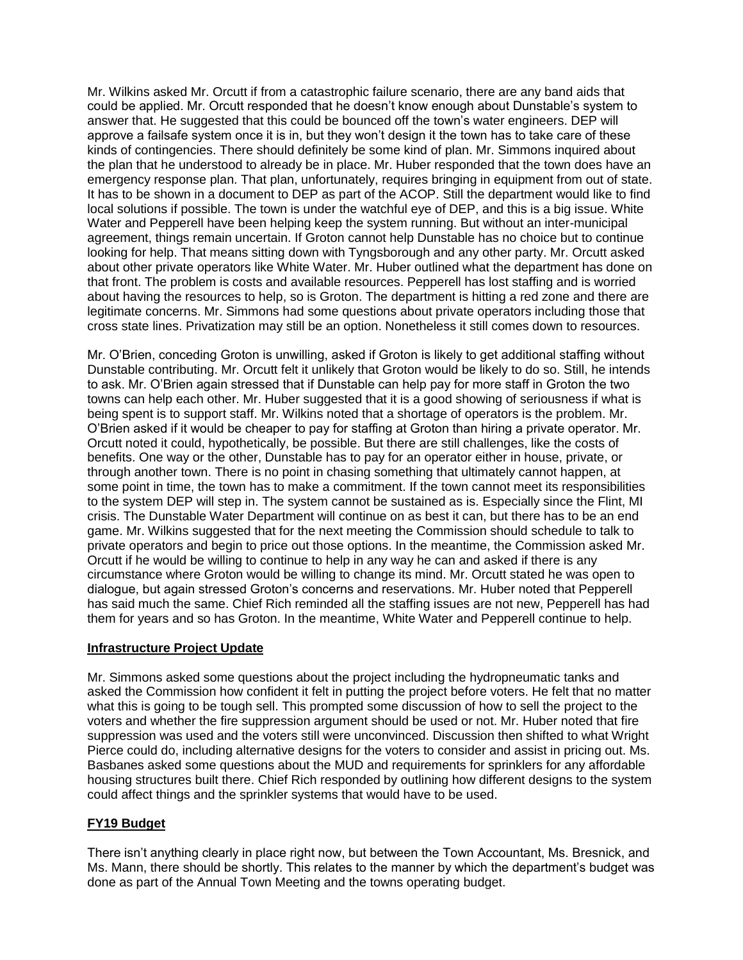Mr. Wilkins asked Mr. Orcutt if from a catastrophic failure scenario, there are any band aids that could be applied. Mr. Orcutt responded that he doesn't know enough about Dunstable's system to answer that. He suggested that this could be bounced off the town's water engineers. DEP will approve a failsafe system once it is in, but they won't design it the town has to take care of these kinds of contingencies. There should definitely be some kind of plan. Mr. Simmons inquired about the plan that he understood to already be in place. Mr. Huber responded that the town does have an emergency response plan. That plan, unfortunately, requires bringing in equipment from out of state. It has to be shown in a document to DEP as part of the ACOP. Still the department would like to find local solutions if possible. The town is under the watchful eye of DEP, and this is a big issue. White Water and Pepperell have been helping keep the system running. But without an inter-municipal agreement, things remain uncertain. If Groton cannot help Dunstable has no choice but to continue looking for help. That means sitting down with Tyngsborough and any other party. Mr. Orcutt asked about other private operators like White Water. Mr. Huber outlined what the department has done on that front. The problem is costs and available resources. Pepperell has lost staffing and is worried about having the resources to help, so is Groton. The department is hitting a red zone and there are legitimate concerns. Mr. Simmons had some questions about private operators including those that cross state lines. Privatization may still be an option. Nonetheless it still comes down to resources.

Mr. O'Brien, conceding Groton is unwilling, asked if Groton is likely to get additional staffing without Dunstable contributing. Mr. Orcutt felt it unlikely that Groton would be likely to do so. Still, he intends to ask. Mr. O'Brien again stressed that if Dunstable can help pay for more staff in Groton the two towns can help each other. Mr. Huber suggested that it is a good showing of seriousness if what is being spent is to support staff. Mr. Wilkins noted that a shortage of operators is the problem. Mr. O'Brien asked if it would be cheaper to pay for staffing at Groton than hiring a private operator. Mr. Orcutt noted it could, hypothetically, be possible. But there are still challenges, like the costs of benefits. One way or the other, Dunstable has to pay for an operator either in house, private, or through another town. There is no point in chasing something that ultimately cannot happen, at some point in time, the town has to make a commitment. If the town cannot meet its responsibilities to the system DEP will step in. The system cannot be sustained as is. Especially since the Flint, MI crisis. The Dunstable Water Department will continue on as best it can, but there has to be an end game. Mr. Wilkins suggested that for the next meeting the Commission should schedule to talk to private operators and begin to price out those options. In the meantime, the Commission asked Mr. Orcutt if he would be willing to continue to help in any way he can and asked if there is any circumstance where Groton would be willing to change its mind. Mr. Orcutt stated he was open to dialogue, but again stressed Groton's concerns and reservations. Mr. Huber noted that Pepperell has said much the same. Chief Rich reminded all the staffing issues are not new, Pepperell has had them for years and so has Groton. In the meantime, White Water and Pepperell continue to help.

### **Infrastructure Project Update**

Mr. Simmons asked some questions about the project including the hydropneumatic tanks and asked the Commission how confident it felt in putting the project before voters. He felt that no matter what this is going to be tough sell. This prompted some discussion of how to sell the project to the voters and whether the fire suppression argument should be used or not. Mr. Huber noted that fire suppression was used and the voters still were unconvinced. Discussion then shifted to what Wright Pierce could do, including alternative designs for the voters to consider and assist in pricing out. Ms. Basbanes asked some questions about the MUD and requirements for sprinklers for any affordable housing structures built there. Chief Rich responded by outlining how different designs to the system could affect things and the sprinkler systems that would have to be used.

### **FY19 Budget**

There isn't anything clearly in place right now, but between the Town Accountant, Ms. Bresnick, and Ms. Mann, there should be shortly. This relates to the manner by which the department's budget was done as part of the Annual Town Meeting and the towns operating budget.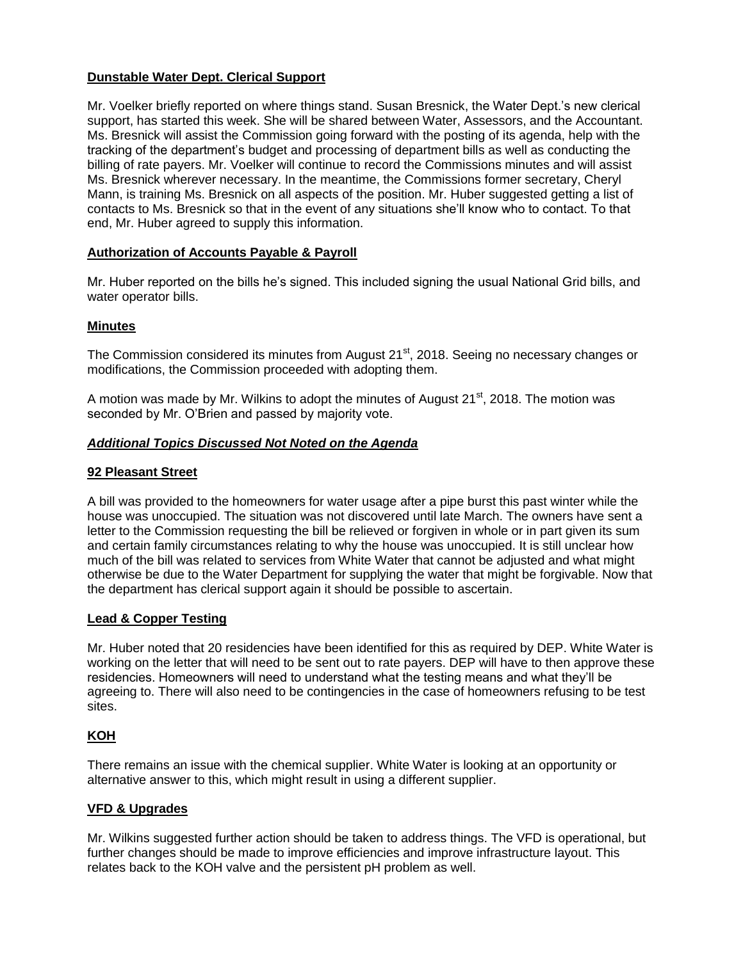# **Dunstable Water Dept. Clerical Support**

Mr. Voelker briefly reported on where things stand. Susan Bresnick, the Water Dept.'s new clerical support, has started this week. She will be shared between Water, Assessors, and the Accountant. Ms. Bresnick will assist the Commission going forward with the posting of its agenda, help with the tracking of the department's budget and processing of department bills as well as conducting the billing of rate payers. Mr. Voelker will continue to record the Commissions minutes and will assist Ms. Bresnick wherever necessary. In the meantime, the Commissions former secretary, Cheryl Mann, is training Ms. Bresnick on all aspects of the position. Mr. Huber suggested getting a list of contacts to Ms. Bresnick so that in the event of any situations she'll know who to contact. To that end, Mr. Huber agreed to supply this information.

### **Authorization of Accounts Payable & Payroll**

Mr. Huber reported on the bills he's signed. This included signing the usual National Grid bills, and water operator bills.

# **Minutes**

The Commission considered its minutes from August 21<sup>st</sup>, 2018. Seeing no necessary changes or modifications, the Commission proceeded with adopting them.

A motion was made by Mr. Wilkins to adopt the minutes of August  $21<sup>st</sup>$ , 2018. The motion was seconded by Mr. O'Brien and passed by majority vote.

### *Additional Topics Discussed Not Noted on the Agenda*

# **92 Pleasant Street**

A bill was provided to the homeowners for water usage after a pipe burst this past winter while the house was unoccupied. The situation was not discovered until late March. The owners have sent a letter to the Commission requesting the bill be relieved or forgiven in whole or in part given its sum and certain family circumstances relating to why the house was unoccupied. It is still unclear how much of the bill was related to services from White Water that cannot be adjusted and what might otherwise be due to the Water Department for supplying the water that might be forgivable. Now that the department has clerical support again it should be possible to ascertain.

### **Lead & Copper Testing**

Mr. Huber noted that 20 residencies have been identified for this as required by DEP. White Water is working on the letter that will need to be sent out to rate payers. DEP will have to then approve these residencies. Homeowners will need to understand what the testing means and what they'll be agreeing to. There will also need to be contingencies in the case of homeowners refusing to be test sites.

### **KOH**

There remains an issue with the chemical supplier. White Water is looking at an opportunity or alternative answer to this, which might result in using a different supplier.

### **VFD & Upgrades**

Mr. Wilkins suggested further action should be taken to address things. The VFD is operational, but further changes should be made to improve efficiencies and improve infrastructure layout. This relates back to the KOH valve and the persistent pH problem as well.